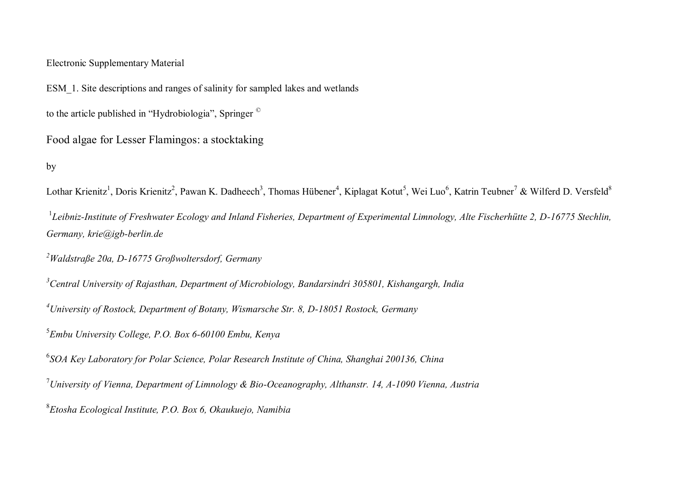# Electronic Supplementary Material

ESM\_1. Site descriptions and ranges of salinity for sampled lakes and wetlands

to the article published in "Hydrobiologia", Springer ©

Food algae for Lesser Flamingos: a stocktaking

## by

Lothar Krienitz<sup>1</sup>, Doris Krienitz<sup>2</sup>, Pawan K. Dadheech<sup>3</sup>, Thomas Hübener<sup>4</sup>, Kiplagat Kotut<sup>5</sup>, Wei Luo<sup>6</sup>, Katrin Teubner<sup>7</sup> & Wilferd D. Versfeld<sup>8</sup>

<sup>1</sup>Leibniz-Institute of Freshwater Ecology and Inland Fisheries, Department of Experimental Limnology, Alte Fischerhütte 2, D-16775 Stechlin, *Germany, krie@igb-berlin.de* 

*<sup>2</sup>Waldstraße 20a, D-16775 Großwoltersdorf, Germany*

*<sup>3</sup>Central University of Rajasthan, Department of Microbiology, Bandarsindri 305801, Kishangargh, India*

*<sup>4</sup>University of Rostock, Department of Botany, Wismarsche Str. 8, D-18051 Rostock, Germany*

5 *Embu University College, P.O. Box 6-60100 Embu, Kenya*

6 *SOA Key Laboratory for Polar Science, Polar Research Institute of China, Shanghai 200136, China*

<sup>7</sup>*University of Vienna, Department of Limnology & Bio-Oceanography, Althanstr. 14, A-1090 Vienna, Austria*

8 *Etosha Ecological Institute, P.O. Box 6, Okaukuejo, Namibia*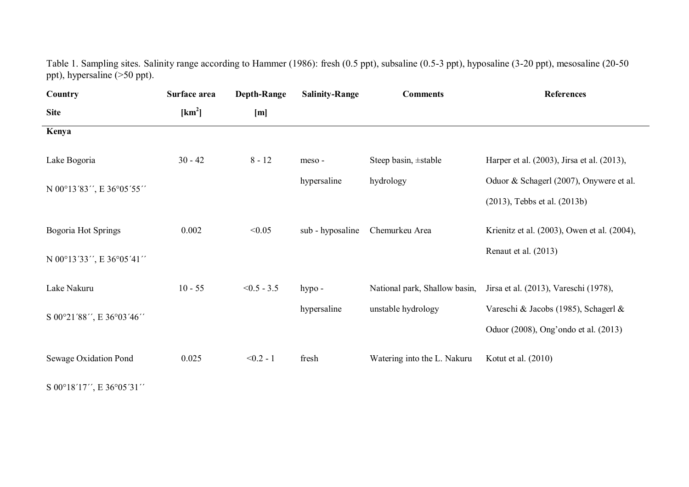Table 1. Sampling sites. Salinity range according to Hammer (1986): fresh (0.5 ppt), subsaline (0.5-3 ppt), hyposaline (3-20 ppt), mesosaline (20-50 ppt), hypersaline (>50 ppt).

| Country                  | Surface area       | <b>Depth-Range</b> | <b>Salinity-Range</b> | <b>Comments</b>             | <b>References</b>                                                   |
|--------------------------|--------------------|--------------------|-----------------------|-----------------------------|---------------------------------------------------------------------|
| <b>Site</b>              | [km <sup>2</sup> ] | [m]                |                       |                             |                                                                     |
| Kenya                    |                    |                    |                       |                             |                                                                     |
| Lake Bogoria             | $30 - 42$          | $8 - 12$           | meso-                 | Steep basin, ±stable        | Harper et al. (2003), Jirsa et al. (2013),                          |
|                          |                    |                    | hypersaline           | hydrology                   | Oduor & Schagerl (2007), Onywere et al.                             |
| N 00°13'83", E 36°05'55" |                    |                    |                       |                             | $(2013)$ , Tebbs et al. $(2013b)$                                   |
| Bogoria Hot Springs      | 0.002              | < 0.05             | sub - hyposaline      | Chemurkeu Area              | Krienitz et al. (2003), Owen et al. (2004),                         |
| N 00°13'33", E 36°05'41" |                    |                    |                       |                             | Renaut et al. (2013)                                                |
| Lake Nakuru              | $10 - 55$          | $< 0.5 - 3.5$      | hypo -                |                             | National park, Shallow basin, Jirsa et al. (2013), Vareschi (1978), |
| S 00°21'88", E 36°03'46" |                    |                    | hypersaline           | unstable hydrology          | Vareschi & Jacobs (1985), Schagerl &                                |
|                          |                    |                    |                       |                             | Oduor (2008), Ong'ondo et al. (2013)                                |
| Sewage Oxidation Pond    | 0.025              | $< 0.2 - 1$        | fresh                 | Watering into the L. Nakuru | Kotut et al. (2010)                                                 |

S 00°18'17'', E 36°05'31''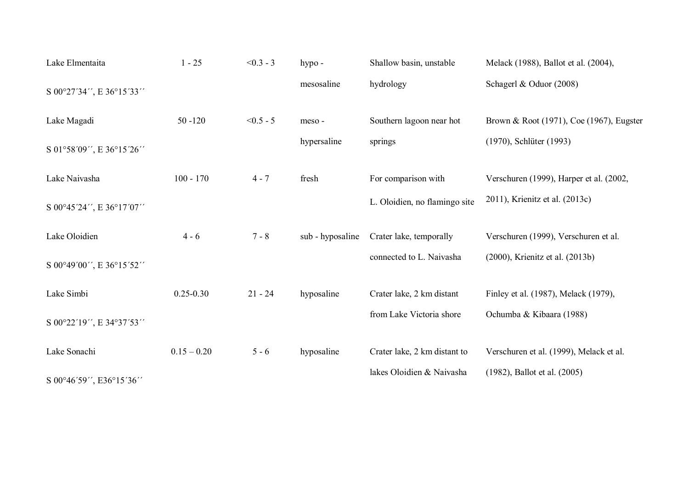| Lake Elmentaita          | $1 - 25$      | $< 0.3 - 3$ | hypo -           | Shallow basin, unstable       | Melack (1988), Ballot et al. (2004),     |
|--------------------------|---------------|-------------|------------------|-------------------------------|------------------------------------------|
| S 00°27'34", E 36°15'33" |               |             | mesosaline       | hydrology                     | Schagerl & Oduor (2008)                  |
| Lake Magadi              | $50 - 120$    | $< 0.5 - 5$ | meso-            | Southern lagoon near hot      | Brown & Root (1971), Coe (1967), Eugster |
| S 01°58'09", E 36°15'26" |               |             | hypersaline      | springs                       | (1970), Schlüter (1993)                  |
| Lake Naivasha            | $100 - 170$   | $4 - 7$     | fresh            | For comparison with           | Verschuren (1999), Harper et al. (2002,  |
| S 00°45'24", E 36°17'07" |               |             |                  | L. Oloidien, no flamingo site | 2011), Krienitz et al. (2013c)           |
| Lake Oloidien            | $4 - 6$       | $7 - 8$     | sub - hyposaline | Crater lake, temporally       | Verschuren (1999), Verschuren et al.     |
| S 00°49'00", E 36°15'52" |               |             |                  | connected to L. Naivasha      | (2000), Krienitz et al. (2013b)          |
| Lake Simbi               | $0.25 - 0.30$ | $21 - 24$   | hyposaline       | Crater lake, 2 km distant     | Finley et al. (1987), Melack (1979),     |
| S 00°22'19", E 34°37'53" |               |             |                  | from Lake Victoria shore      | Ochumba & Kibaara (1988)                 |
| Lake Sonachi             | $0.15 - 0.20$ | $5 - 6$     | hyposaline       | Crater lake, 2 km distant to  | Verschuren et al. (1999), Melack et al.  |
| S 00°46'59", E36°15'36"  |               |             |                  | lakes Oloidien & Naivasha     | $(1982)$ , Ballot et al. $(2005)$        |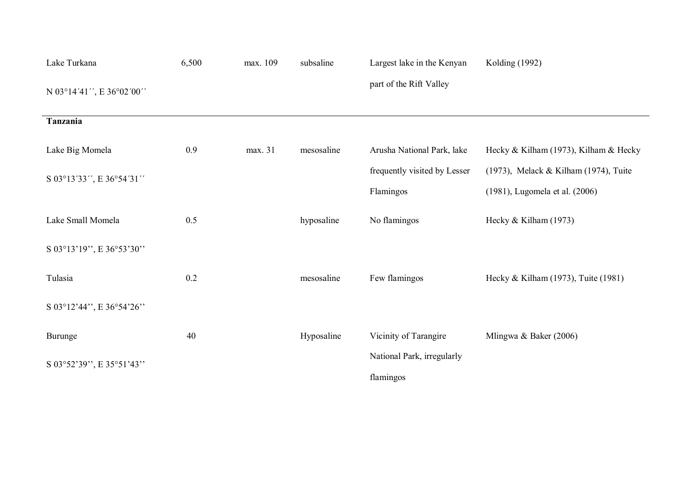| Lake Turkana             | 6,500 | max. 109 | subsaline  | Largest lake in the Kenyan   | Kolding (1992)                        |
|--------------------------|-------|----------|------------|------------------------------|---------------------------------------|
| N 03°14'41", E 36°02'00" |       |          |            | part of the Rift Valley      |                                       |
| Tanzania                 |       |          |            |                              |                                       |
| Lake Big Momela          | 0.9   | max. 31  | mesosaline | Arusha National Park, lake   | Hecky & Kilham (1973), Kilham & Hecky |
| S 03°13'33", E 36°54'31" |       |          |            | frequently visited by Lesser | (1973), Melack & Kilham (1974), Tuite |
|                          |       |          |            | Flamingos                    | (1981), Lugomela et al. (2006)        |
| Lake Small Momela        | 0.5   |          | hyposaline | No flamingos                 | Hecky & Kilham (1973)                 |
| S 03°13'19", E 36°53'30" |       |          |            |                              |                                       |
| Tulasia                  | 0.2   |          | mesosaline | Few flamingos                | Hecky & Kilham (1973), Tuite (1981)   |
| S 03°12'44", E 36°54'26" |       |          |            |                              |                                       |
| Burunge                  | 40    |          | Hyposaline | Vicinity of Tarangire        | Mlingwa & Baker $(2006)$              |
| S 03°52'39", E 35°51'43" |       |          |            | National Park, irregularly   |                                       |
|                          |       |          |            | flamingos                    |                                       |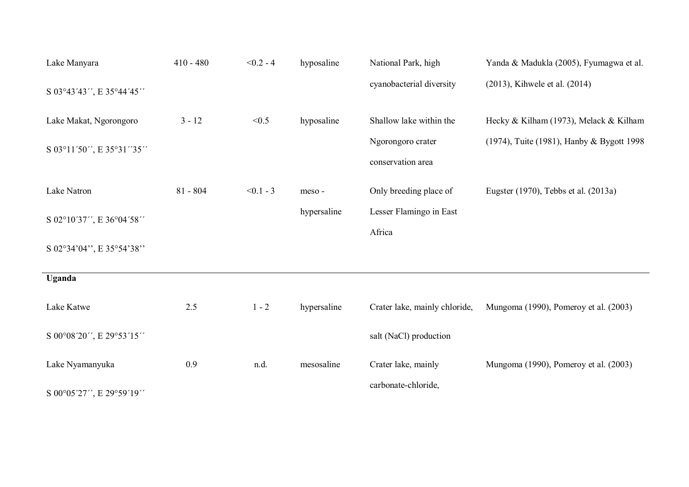| Lake Manyara              | $410 - 480$ | $< 0.2 - 4$ | hyposaline  | National Park, high                    | Yanda & Madukla (2005), Fyumagwa et al.   |
|---------------------------|-------------|-------------|-------------|----------------------------------------|-------------------------------------------|
| S 03°43'43", E 35°44'45"  |             |             |             | cyanobacterial diversity               | (2013), Kihwele et al. (2014)             |
| Lake Makat, Ngorongoro    | $3 - 12$    | < 0.5       | hyposaline  | Shallow lake within the                | Hecky & Kilham (1973), Melack & Kilham    |
| S 03°11'50", E 35°31''35" |             |             |             | Ngorongoro crater<br>conservation area | (1974), Tuite (1981), Hanby & Bygott 1998 |
| Lake Natron               | $81 - 804$  | $< 0.1 - 3$ | meso-       | Only breeding place of                 | Eugster (1970), Tebbs et al. (2013a)      |
| S 02°10'37", E 36°04'58"  |             |             | hypersaline | Lesser Flamingo in East<br>Africa      |                                           |
| S 02°34'04", E 35°54'38"  |             |             |             |                                        |                                           |
| Uganda                    |             |             |             |                                        |                                           |
| Lake Katwe                | 2.5         | $1 - 2$     | hypersaline | Crater lake, mainly chloride,          | Mungoma (1990), Pomeroy et al. (2003)     |
| S 00°08'20", E 29°53'15"  |             |             |             | salt (NaCl) production                 |                                           |
| Lake Nyamanyuka           | 0.9         | n.d.        | mesosaline  | Crater lake, mainly                    | Mungoma (1990), Pomeroy et al. (2003)     |
| S 00°05'27", E 29°59'19"  |             |             |             | carbonate-chloride,                    |                                           |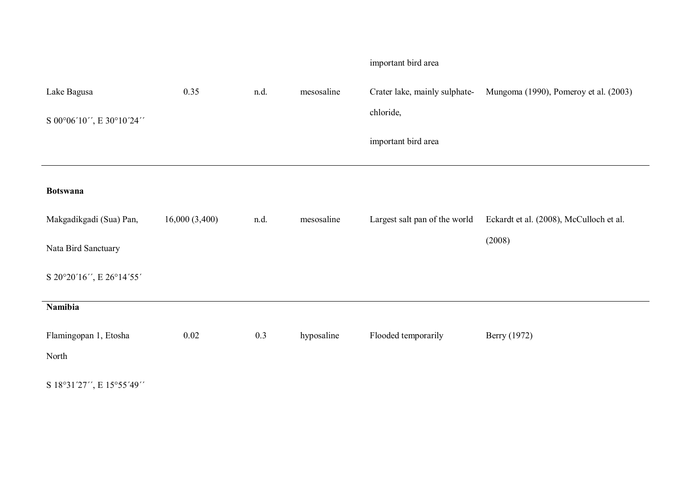|                          |               |      |            | important bird area           |                                         |
|--------------------------|---------------|------|------------|-------------------------------|-----------------------------------------|
| Lake Bagusa              | 0.35          | n.d. | mesosaline | Crater lake, mainly sulphate- | Mungoma (1990), Pomeroy et al. (2003)   |
| S 00°06'10", E 30°10'24" |               |      |            | chloride,                     |                                         |
|                          |               |      |            | important bird area           |                                         |
| <b>Botswana</b>          |               |      |            |                               |                                         |
| Makgadikgadi (Sua) Pan,  | 16,000(3,400) | n.d. | mesosaline | Largest salt pan of the world | Eckardt et al. (2008), McCulloch et al. |
| Nata Bird Sanctuary      |               |      |            |                               | (2008)                                  |
| S 20°20'16", E 26°14'55' |               |      |            |                               |                                         |
| Namibia                  |               |      |            |                               |                                         |
| Flamingopan 1, Etosha    | 0.02          | 0.3  | hyposaline | Flooded temporarily           | Berry (1972)                            |
| North                    |               |      |            |                               |                                         |
| S 18°31'27", E 15°55'49" |               |      |            |                               |                                         |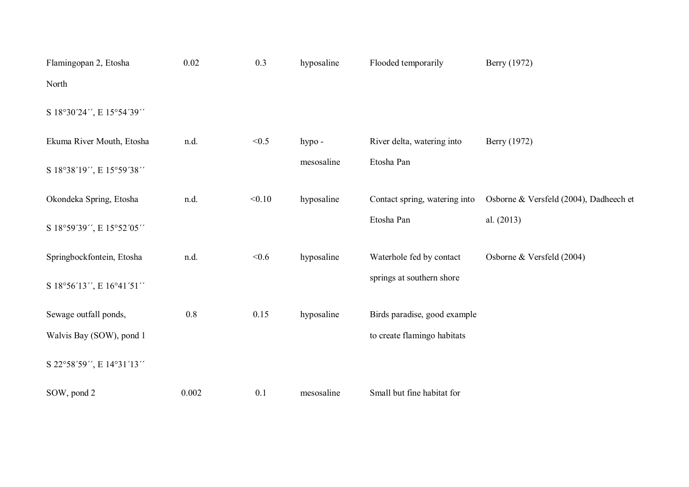| Flamingopan 2, Etosha     | 0.02  | 0.3    | hyposaline | Flooded temporarily           | Berry (1972)                           |
|---------------------------|-------|--------|------------|-------------------------------|----------------------------------------|
| North                     |       |        |            |                               |                                        |
| S 18°30'24", E 15°54'39"  |       |        |            |                               |                                        |
| Ekuma River Mouth, Etosha | n.d.  | < 0.5  | hypo -     | River delta, watering into    | Berry (1972)                           |
| S 18°38'19", E 15°59'38"  |       |        | mesosaline | Etosha Pan                    |                                        |
| Okondeka Spring, Etosha   | n.d.  | < 0.10 | hyposaline | Contact spring, watering into | Osborne & Versfeld (2004), Dadheech et |
| S 18°59'39", E 15°52'05"  |       |        |            | Etosha Pan                    | al. (2013)                             |
| Springbockfontein, Etosha | n.d.  | < 0.6  | hyposaline | Waterhole fed by contact      | Osborne & Versfeld (2004)              |
| S 18°56'13", E 16°41'51"  |       |        |            | springs at southern shore     |                                        |
| Sewage outfall ponds,     | 0.8   | 0.15   | hyposaline | Birds paradise, good example  |                                        |
| Walvis Bay (SOW), pond 1  |       |        |            | to create flamingo habitats   |                                        |
| S 22°58'59", E 14°31'13"  |       |        |            |                               |                                        |
| SOW, pond 2               | 0.002 | 0.1    | mesosaline | Small but fine habitat for    |                                        |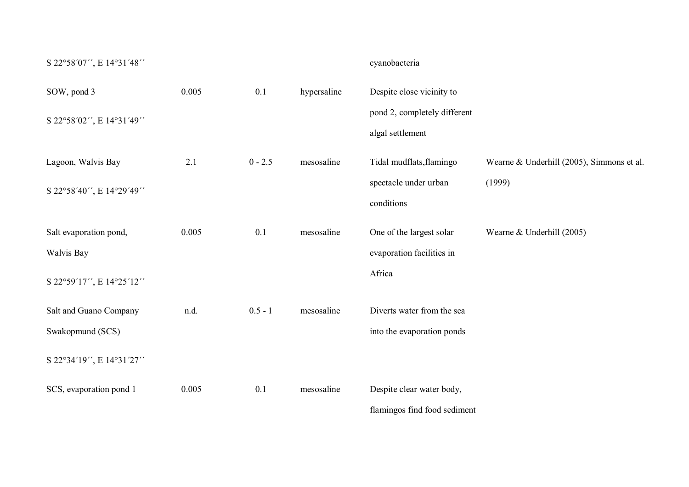| S 22°58'07", E 14°31'48" |       |           |             | cyanobacteria                                    |                                           |
|--------------------------|-------|-----------|-------------|--------------------------------------------------|-------------------------------------------|
| SOW, pond 3              | 0.005 | 0.1       | hypersaline | Despite close vicinity to                        |                                           |
| S 22°58'02", E 14°31'49" |       |           |             | pond 2, completely different<br>algal settlement |                                           |
| Lagoon, Walvis Bay       | 2.1   | $0 - 2.5$ | mesosaline  | Tidal mudflats, flamingo                         | Wearne & Underhill (2005), Simmons et al. |
| S 22°58'40", E 14°29'49" |       |           |             | spectacle under urban<br>conditions              | (1999)                                    |
| Salt evaporation pond,   | 0.005 | 0.1       | mesosaline  | One of the largest solar                         | Wearne & Underhill (2005)                 |
| Walvis Bay               |       |           |             | evaporation facilities in                        |                                           |
| S 22°59'17", E 14°25'12" |       |           |             | Africa                                           |                                           |
| Salt and Guano Company   | n.d.  | $0.5 - 1$ | mesosaline  | Diverts water from the sea                       |                                           |
| Swakopmund (SCS)         |       |           |             | into the evaporation ponds                       |                                           |
| S 22°34'19", E 14°31'27" |       |           |             |                                                  |                                           |
| SCS, evaporation pond 1  | 0.005 | 0.1       | mesosaline  | Despite clear water body,                        |                                           |
|                          |       |           |             | flamingos find food sediment                     |                                           |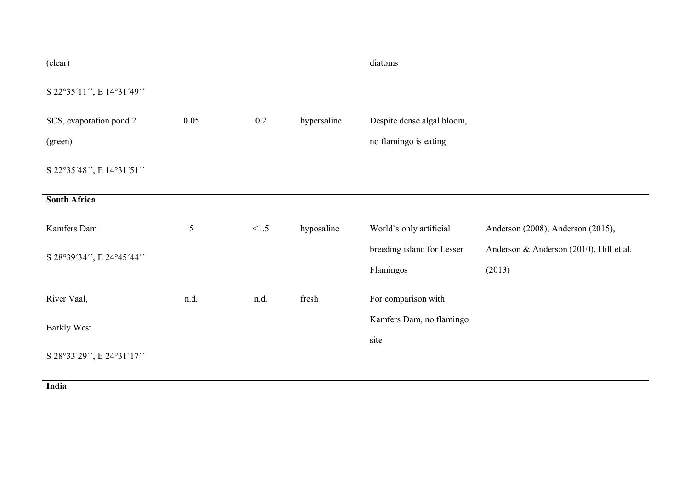| (clear)                  |      |       |             | diatoms                                 |                                                   |
|--------------------------|------|-------|-------------|-----------------------------------------|---------------------------------------------------|
| S 22°35'11", E 14°31'49" |      |       |             |                                         |                                                   |
| SCS, evaporation pond 2  | 0.05 | 0.2   | hypersaline | Despite dense algal bloom,              |                                                   |
| (green)                  |      |       |             | no flamingo is eating                   |                                                   |
| S 22°35'48", E 14°31'51" |      |       |             |                                         |                                                   |
| South Africa             |      |       |             |                                         |                                                   |
| Kamfers Dam              | 5    | < 1.5 | hyposaline  | World's only artificial                 | Anderson (2008), Anderson (2015),                 |
| S 28°39'34", E 24°45'44" |      |       |             | breeding island for Lesser<br>Flamingos | Anderson & Anderson (2010), Hill et al.<br>(2013) |
| River Vaal,              | n.d. | n.d.  | fresh       | For comparison with                     |                                                   |
| <b>Barkly West</b>       |      |       |             | Kamfers Dam, no flamingo<br>site        |                                                   |
| S 28°33'29", E 24°31'17" |      |       |             |                                         |                                                   |

**India**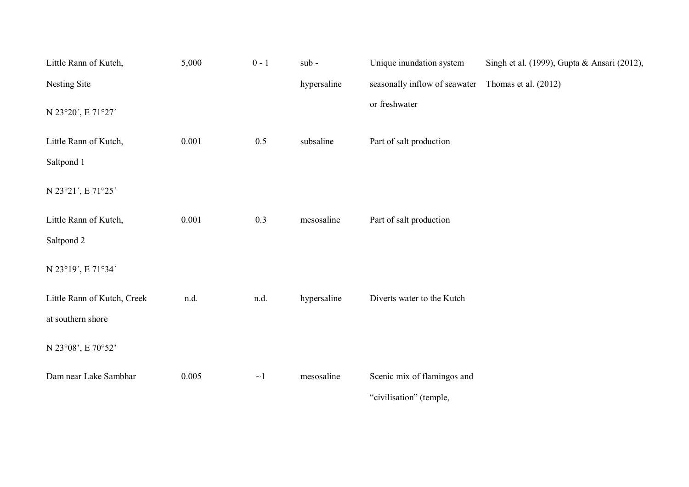| Little Rann of Kutch,       | 5,000 | $0 - 1$  | sub-        | Unique inundation system                           | Singh et al. (1999), Gupta & Ansari (2012), |
|-----------------------------|-------|----------|-------------|----------------------------------------------------|---------------------------------------------|
| Nesting Site                |       |          | hypersaline | seasonally inflow of seawater Thomas et al. (2012) |                                             |
| N 23°20', E 71°27'          |       |          |             | or freshwater                                      |                                             |
| Little Rann of Kutch,       | 0.001 | 0.5      | subsaline   | Part of salt production                            |                                             |
| Saltpond 1                  |       |          |             |                                                    |                                             |
| N 23°21', E 71°25'          |       |          |             |                                                    |                                             |
| Little Rann of Kutch,       | 0.001 | 0.3      | mesosaline  | Part of salt production                            |                                             |
| Saltpond 2                  |       |          |             |                                                    |                                             |
| N 23°19', E 71°34'          |       |          |             |                                                    |                                             |
| Little Rann of Kutch, Creek | n.d.  | n.d.     | hypersaline | Diverts water to the Kutch                         |                                             |
| at southern shore           |       |          |             |                                                    |                                             |
| N 23°08', E 70°52'          |       |          |             |                                                    |                                             |
| Dam near Lake Sambhar       | 0.005 | $\sim$ 1 | mesosaline  | Scenic mix of flamingos and                        |                                             |
|                             |       |          |             | "civilisation" (temple,                            |                                             |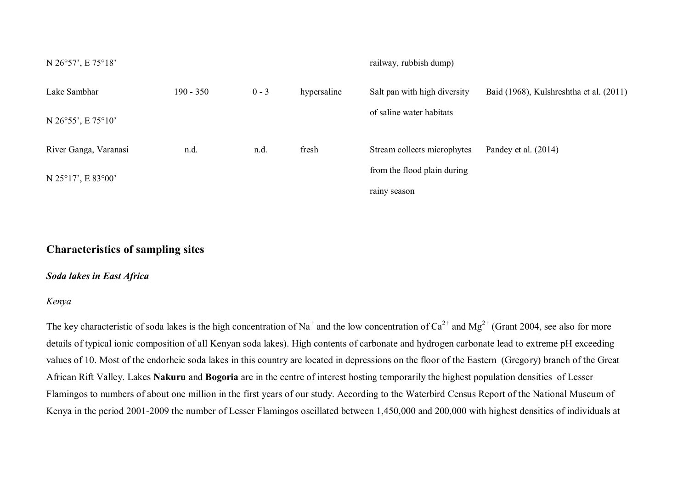| N 26°57', E 75°18'    |             |         |             | railway, rubbish dump)       |                                         |
|-----------------------|-------------|---------|-------------|------------------------------|-----------------------------------------|
| Lake Sambhar          | $190 - 350$ | $0 - 3$ | hypersaline | Salt pan with high diversity | Baid (1968), Kulshreshtha et al. (2011) |
| N 26°55', E 75°10'    |             |         |             | of saline water habitats     |                                         |
| River Ganga, Varanasi | n.d.        | n.d.    | fresh       | Stream collects microphytes  | Pandey et al. (2014)                    |
| N 25°17', E 83°00'    |             |         |             | from the flood plain during  |                                         |
|                       |             |         |             | rainy season                 |                                         |

# **Characteristics of sampling sites**

## *Soda lakes in East Africa*

### *Kenya*

The key characteristic of soda lakes is the high concentration of Na<sup>+</sup> and the low concentration of Ca<sup>2+</sup> and Mg<sup>2+</sup> (Grant 2004, see also for more details of typical ionic composition of all Kenyan soda lakes). High contents of carbonate and hydrogen carbonate lead to extreme pH exceeding values of 10. Most of the endorheic soda lakes in this country are located in depressions on the floor of the Eastern (Gregory) branch of the Great African Rift Valley. Lakes **Nakuru** and **Bogoria** are in the centre of interest hosting temporarily the highest population densities of Lesser Flamingos to numbers of about one million in the first years of our study. According to the Waterbird Census Report of the National Museum of Kenya in the period 2001-2009 the number of Lesser Flamingos oscillated between 1,450,000 and 200,000 with highest densities of individuals at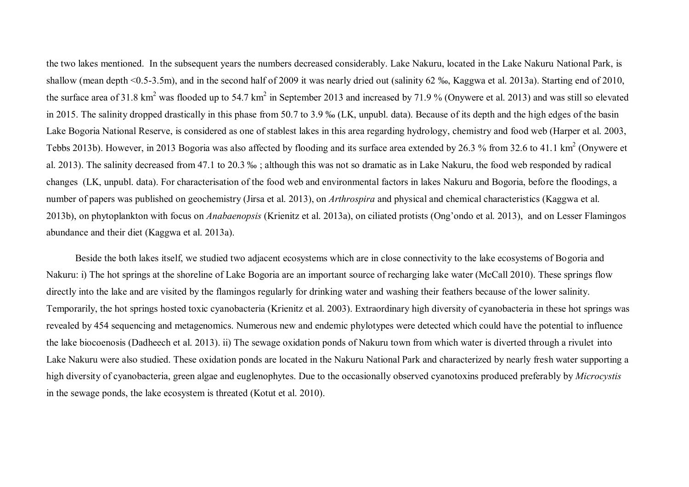the two lakes mentioned. In the subsequent years the numbers decreased considerably. Lake Nakuru, located in the Lake Nakuru National Park, is shallow (mean depth <0.5-3.5m), and in the second half of 2009 it was nearly dried out (salinity 62 ‰, Kaggwa et al. 2013a). Starting end of 2010, the surface area of 31.8 km<sup>2</sup> was flooded up to 54.7 km<sup>2</sup> in September 2013 and increased by 71.9 % (Onywere et al. 2013) and was still so elevated in 2015. The salinity dropped drastically in this phase from 50.7 to 3.9 ‰ (LK, unpubl. data). Because of its depth and the high edges of the basin Lake Bogoria National Reserve, is considered as one of stablest lakes in this area regarding hydrology, chemistry and food web (Harper et al. 2003, Tebbs 2013b). However, in 2013 Bogoria was also affected by flooding and its surface area extended by 26.3 % from 32.6 to 41.1 km<sup>2</sup> (Onywere et al. 2013). The salinity decreased from 47.1 to 20.3 ‰ ; although this was not so dramatic as in Lake Nakuru, the food web responded by radical changes (LK, unpubl. data). For characterisation of the food web and environmental factors in lakes Nakuru and Bogoria, before the floodings, a number of papers was published on geochemistry (Jirsa et al. 2013), on *Arthrospira* and physical and chemical characteristics (Kaggwa et al. 2013b), on phytoplankton with focus on *Anabaenopsis* (Krienitz et al. 2013a), on ciliated protists (Ong'ondo et al. 2013), and on Lesser Flamingos abundance and their diet (Kaggwa et al. 2013a).

Beside the both lakes itself, we studied two adjacent ecosystems which are in close connectivity to the lake ecosystems of Bogoria and Nakuru: i) The hot springs at the shoreline of Lake Bogoria are an important source of recharging lake water (McCall 2010). These springs flow directly into the lake and are visited by the flamingos regularly for drinking water and washing their feathers because of the lower salinity. Temporarily, the hot springs hosted toxic cyanobacteria (Krienitz et al. 2003). Extraordinary high diversity of cyanobacteria in these hot springs was revealed by 454 sequencing and metagenomics. Numerous new and endemic phylotypes were detected which could have the potential to influence the lake biocoenosis (Dadheech et al. 2013). ii) The sewage oxidation ponds of Nakuru town from which water is diverted through a rivulet into Lake Nakuru were also studied. These oxidation ponds are located in the Nakuru National Park and characterized by nearly fresh water supporting a high diversity of cyanobacteria, green algae and euglenophytes. Due to the occasionally observed cyanotoxins produced preferably by *Microcystis* in the sewage ponds, the lake ecosystem is threated (Kotut et al. 2010).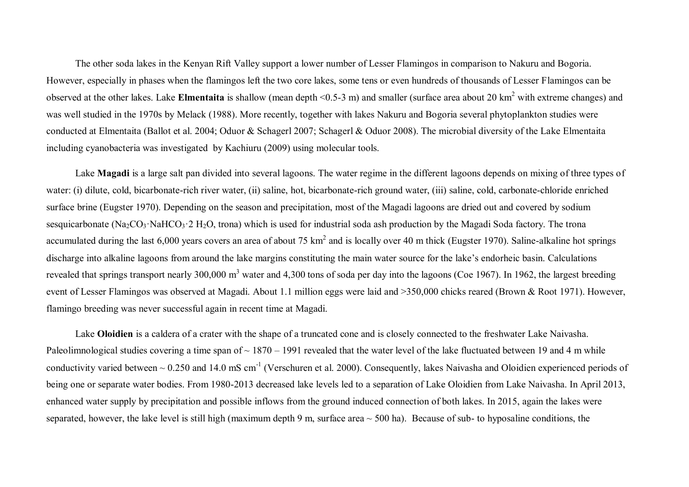The other soda lakes in the Kenyan Rift Valley support a lower number of Lesser Flamingos in comparison to Nakuru and Bogoria. However, especially in phases when the flamingos left the two core lakes, some tens or even hundreds of thousands of Lesser Flamingos can be observed at the other lakes. Lake **Elmentaita** is shallow (mean depth <0.5-3 m) and smaller (surface area about 20 km<sup>2</sup> with extreme changes) and was well studied in the 1970s by Melack (1988). More recently, together with lakes Nakuru and Bogoria several phytoplankton studies were conducted at Elmentaita (Ballot et al. 2004; Oduor & Schagerl 2007; Schagerl & Oduor 2008). The microbial diversity of the Lake Elmentaita including cyanobacteria was investigated by Kachiuru (2009) using molecular tools.

Lake **Magadi** is a large salt pan divided into several lagoons. The water regime in the different lagoons depends on mixing of three types of water: (i) dilute, cold, bicarbonate-rich river water, (ii) saline, hot, bicarbonate-rich ground water, (iii) saline, cold, carbonate-chloride enriched surface brine (Eugster 1970). Depending on the season and precipitation, most of the Magadi lagoons are dried out and covered by sodium sesquicarbonate (Na<sub>2</sub>CO<sub>3</sub>·NaHCO<sub>3</sub>·2 H<sub>2</sub>O, trona) which is used for industrial soda ash production by the Magadi Soda factory. The trona accumulated during the last 6,000 years covers an area of about 75 km<sup>2</sup> and is locally over 40 m thick (Eugster 1970). Saline-alkaline hot springs discharge into alkaline lagoons from around the lake margins constituting the main water source for the lake's endorheic basin. Calculations revealed that springs transport nearly 300,000 m<sup>3</sup> water and 4,300 tons of soda per day into the lagoons (Coe 1967). In 1962, the largest breeding event of Lesser Flamingos was observed at Magadi. About 1.1 million eggs were laid and >350,000 chicks reared (Brown & Root 1971). However, flamingo breeding was never successful again in recent time at Magadi.

Lake **Oloidien** is a caldera of a crater with the shape of a truncated cone and is closely connected to the freshwater Lake Naivasha. Paleolimnological studies covering a time span of  $\sim 1870 - 1991$  revealed that the water level of the lake fluctuated between 19 and 4 m while conductivity varied between  $\sim 0.250$  and 14.0 mS cm<sup>-1</sup> (Verschuren et al. 2000). Consequently, lakes Naivasha and Oloidien experienced periods of being one or separate water bodies. From 1980-2013 decreased lake levels led to a separation of Lake Oloidien from Lake Naivasha. In April 2013, enhanced water supply by precipitation and possible inflows from the ground induced connection of both lakes. In 2015, again the lakes were separated, however, the lake level is still high (maximum depth 9 m, surface area  $\sim$  500 ha). Because of sub- to hyposaline conditions, the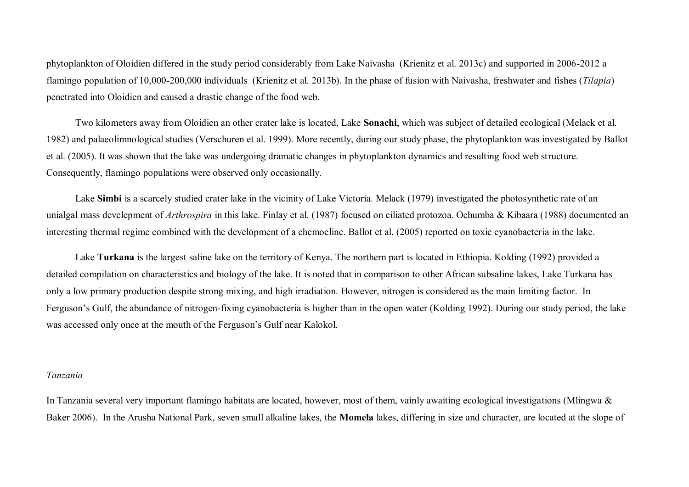phytoplankton of Oloidien differed in the study period considerably from Lake Naivasha (Krienitz et al. 2013c) and supported in 2006-2012 a flamingo population of 10,000-200,000 individuals (Krienitz et al. 2013b). In the phase of fusion with Naivasha, freshwater and fishes (*Tilapia*) penetrated into Oloidien and caused a drastic change of the food web.

Two kilometers away from Oloidien an other crater lake is located, Lake **Sonachi**, which was subject of detailed ecological (Melack et al. 1982) and palaeolimnological studies (Verschuren et al. 1999). More recently, during our study phase, the phytoplankton was investigated by Ballot et al. (2005). It was shown that the lake was undergoing dramatic changes in phytoplankton dynamics and resulting food web structure. Consequently, flamingo populations were observed only occasionally.

Lake **Simbi** is a scarcely studied crater lake in the vicinity of Lake Victoria. Melack (1979) investigated the photosynthetic rate of an unialgal mass develepment of *Arthrospira* in this lake. Finlay et al. (1987) focused on ciliated protozoa. Ochumba & Kibaara (1988) documented an interesting thermal regime combined with the development of a chemocline. Ballot et al. (2005) reported on toxic cyanobacteria in the lake.

Lake **Turkana** is the largest saline lake on the territory of Kenya. The northern part is located in Ethiopia. Kolding (1992) provided a detailed compilation on characteristics and biology of the lake. It is noted that in comparison to other African subsaline lakes, Lake Turkana has only a low primary production despite strong mixing, and high irradiation. However, nitrogen is considered as the main limiting factor. In Ferguson's Gulf, the abundance of nitrogen-fixing cyanobacteria is higher than in the open water (Kolding 1992). During our study period, the lake was accessed only once at the mouth of the Ferguson's Gulf near Kalokol.

#### *Tanzania*

In Tanzania several very important flamingo habitats are located, however, most of them, vainly awaiting ecological investigations (Mlingwa & Baker 2006). In the Arusha National Park, seven small alkaline lakes, the **Momela** lakes, differing in size and character, are located at the slope of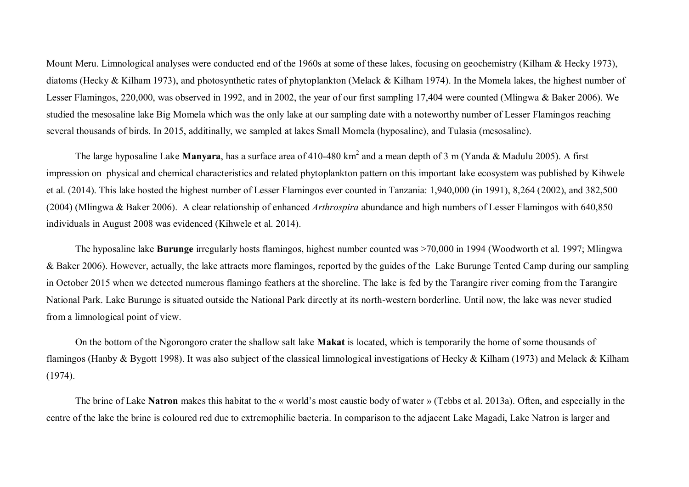Mount Meru. Limnological analyses were conducted end of the 1960s at some of these lakes, focusing on geochemistry (Kilham & Hecky 1973), diatoms (Hecky & Kilham 1973), and photosynthetic rates of phytoplankton (Melack & Kilham 1974). In the Momela lakes, the highest number of Lesser Flamingos, 220,000, was observed in 1992, and in 2002, the year of our first sampling 17,404 were counted (Mlingwa & Baker 2006). We studied the mesosaline lake Big Momela which was the only lake at our sampling date with a noteworthy number of Lesser Flamingos reaching several thousands of birds. In 2015, additinally, we sampled at lakes Small Momela (hyposaline), and Tulasia (mesosaline).

The large hyposaline Lake Manyara, has a surface area of 410-480 km<sup>2</sup> and a mean depth of 3 m (Yanda & Madulu 2005). A first impression on physical and chemical characteristics and related phytoplankton pattern on this important lake ecosystem was published by Kihwele et al. (2014). This lake hosted the highest number of Lesser Flamingos ever counted in Tanzania: 1,940,000 (in 1991), 8,264 (2002), and 382,500 (2004) (Mlingwa & Baker 2006). A clear relationship of enhanced *Arthrospira* abundance and high numbers of Lesser Flamingos with 640,850 individuals in August 2008 was evidenced (Kihwele et al. 2014).

The hyposaline lake **Burunge** irregularly hosts flamingos, highest number counted was >70,000 in 1994 (Woodworth et al. 1997; Mlingwa & Baker 2006). However, actually, the lake attracts more flamingos, reported by the guides of the Lake Burunge Tented Camp during our sampling in October 2015 when we detected numerous flamingo feathers at the shoreline. The lake is fed by the Tarangire river coming from the Tarangire National Park. Lake Burunge is situated outside the National Park directly at its north-western borderline. Until now, the lake was never studied from a limnological point of view.

On the bottom of the Ngorongoro crater the shallow salt lake **Makat** is located, which is temporarily the home of some thousands of flamingos (Hanby & Bygott 1998). It was also subject of the classical limnological investigations of Hecky & Kilham (1973) and Melack & Kilham (1974).

The brine of Lake **Natron** makes this habitat to the « world's most caustic body of water » (Tebbs et al. 2013a). Often, and especially in the centre of the lake the brine is coloured red due to extremophilic bacteria. In comparison to the adjacent Lake Magadi, Lake Natron is larger and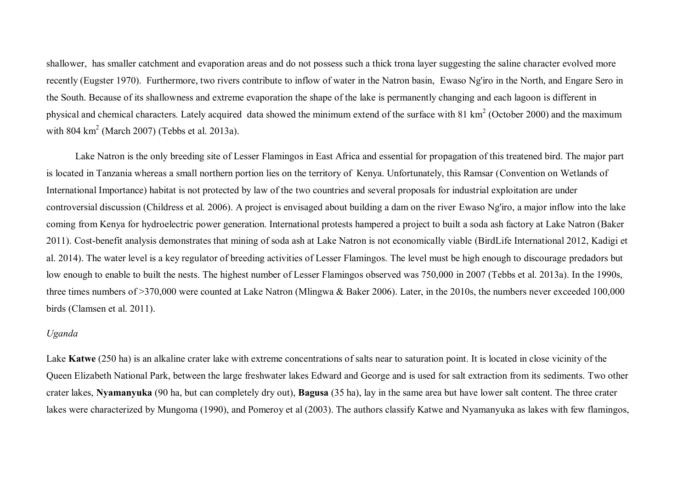shallower, has smaller catchment and evaporation areas and do not possess such a thick trona layer suggesting the saline character evolved more recently (Eugster 1970). Furthermore, two rivers contribute to inflow of water in the Natron basin, Ewaso Ng'iro in the North, and Engare Sero in the South. Because of its shallowness and extreme evaporation the shape of the lake is permanently changing and each lagoon is different in physical and chemical characters. Lately acquired data showed the minimum extend of the surface with 81 km<sup>2</sup> (October 2000) and the maximum with  $804 \text{ km}^2$  (March 2007) (Tebbs et al. 2013a).

Lake Natron is the only breeding site of Lesser Flamingos in East Africa and essential for propagation of this treatened bird. The major part is located in Tanzania whereas a small northern portion lies on the territory of Kenya. Unfortunately, this Ramsar (Convention on Wetlands of International Importance) habitat is not protected by law of the two countries and several proposals for industrial exploitation are under controversial discussion (Childress et al. 2006). A project is envisaged about building a dam on the river Ewaso Ng'iro, a major inflow into the lake coming from Kenya for hydroelectric power generation. International protests hampered a project to built a soda ash factory at Lake Natron (Baker 2011). Cost-benefit analysis demonstrates that mining of soda ash at Lake Natron is not economically viable (BirdLife International 2012, Kadigi et al. 2014). The water level is a key regulator of breeding activities of Lesser Flamingos. The level must be high enough to discourage predadors but low enough to enable to built the nests. The highest number of Lesser Flamingos observed was 750,000 in 2007 (Tebbs et al. 2013a). In the 1990s, three times numbers of >370,000 were counted at Lake Natron (Mlingwa & Baker 2006). Later, in the 2010s, the numbers never exceeded 100,000 birds (Clamsen et al. 2011).

### *Uganda*

Lake **Katwe** (250 ha) is an alkaline crater lake with extreme concentrations of salts near to saturation point. It is located in close vicinity of the Queen Elizabeth National Park, between the large freshwater lakes Edward and George and is used for salt extraction from its sediments. Two other crater lakes, **Nyamanyuka** (90 ha, but can completely dry out), **Bagusa** (35 ha), lay in the same area but have lower salt content. The three crater lakes were characterized by Mungoma (1990), and Pomeroy et al (2003). The authors classify Katwe and Nyamanyuka as lakes with few flamingos,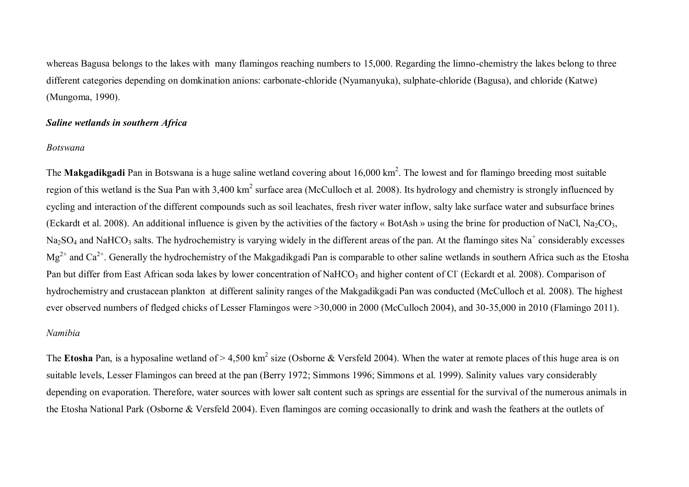whereas Bagusa belongs to the lakes with many flamingos reaching numbers to 15,000. Regarding the limno-chemistry the lakes belong to three different categories depending on domkination anions: carbonate-chloride (Nyamanyuka), sulphate-chloride (Bagusa), and chloride (Katwe) (Mungoma, 1990).

# *Saline wetlands in southern Africa*

## *Botswana*

The Makgadikgadi Pan in Botswana is a huge saline wetland covering about 16,000 km<sup>2</sup>. The lowest and for flamingo breeding most suitable region of this wetland is the Sua Pan with 3,400 km<sup>2</sup> surface area (McCulloch et al. 2008). Its hydrology and chemistry is strongly influenced by cycling and interaction of the different compounds such as soil leachates, fresh river water inflow, salty lake surface water and subsurface brines (Eckardt et al. 2008). An additional influence is given by the activities of the factory « BotAsh » using the brine for production of NaCl, Na<sub>2</sub>CO<sub>3</sub>, Na<sub>2</sub>SO<sub>4</sub> and NaHCO<sub>3</sub> salts. The hydrochemistry is varying widely in the different areas of the pan. At the flamingo sites Na<sup>+</sup> considerably excesses  $Mg^{2+}$  and Ca<sup>2+</sup>. Generally the hydrochemistry of the Makgadikgadi Pan is comparable to other saline wetlands in southern Africa such as the Etosha Pan but differ from East African soda lakes by lower concentration of NaHCO<sub>3</sub> and higher content of Cl<sup>-</sup> (Eckardt et al. 2008). Comparison of hydrochemistry and crustacean plankton at different salinity ranges of the Makgadikgadi Pan was conducted (McCulloch et al. 2008). The highest ever observed numbers of fledged chicks of Lesser Flamingos were >30,000 in 2000 (McCulloch 2004), and 30-35,000 in 2010 (Flamingo 2011).

# *Namibia*

The Etosha Pan, is a hyposaline wetland of > 4,500 km<sup>2</sup> size (Osborne & Versfeld 2004). When the water at remote places of this huge area is on suitable levels, Lesser Flamingos can breed at the pan (Berry 1972; Simmons 1996; Simmons et al. 1999). Salinity values vary considerably depending on evaporation. Therefore, water sources with lower salt content such as springs are essential for the survival of the numerous animals in the Etosha National Park (Osborne & Versfeld 2004). Even flamingos are coming occasionally to drink and wash the feathers at the outlets of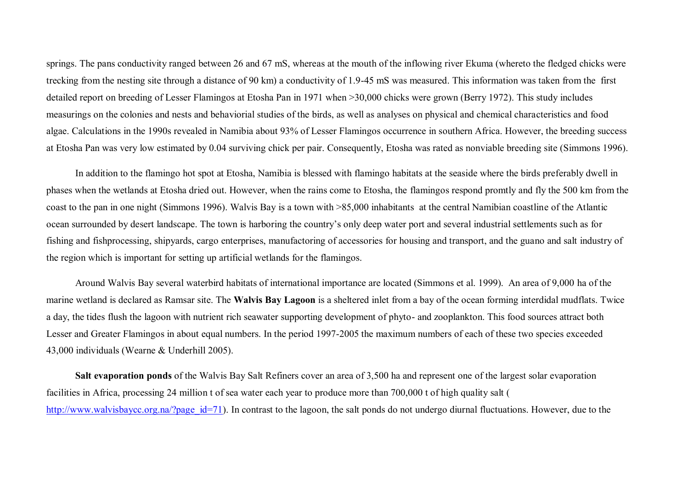springs. The pans conductivity ranged between 26 and 67 mS, whereas at the mouth of the inflowing river Ekuma (whereto the fledged chicks were trecking from the nesting site through a distance of 90 km) a conductivity of 1.9-45 mS was measured. This information was taken from the first detailed report on breeding of Lesser Flamingos at Etosha Pan in 1971 when >30,000 chicks were grown (Berry 1972). This study includes measurings on the colonies and nests and behaviorial studies of the birds, as well as analyses on physical and chemical characteristics and food algae. Calculations in the 1990s revealed in Namibia about 93% of Lesser Flamingos occurrence in southern Africa. However, the breeding success at Etosha Pan was very low estimated by 0.04 surviving chick per pair. Consequently, Etosha was rated as nonviable breeding site (Simmons 1996).

In addition to the flamingo hot spot at Etosha, Namibia is blessed with flamingo habitats at the seaside where the birds preferably dwell in phases when the wetlands at Etosha dried out. However, when the rains come to Etosha, the flamingos respond promtly and fly the 500 km from the coast to the pan in one night (Simmons 1996). Walvis Bay is a town with >85,000 inhabitants at the central Namibian coastline of the Atlantic ocean surrounded by desert landscape. The town is harboring the country's only deep water port and several industrial settlements such as for fishing and fishprocessing, shipyards, cargo enterprises, manufactoring of accessories for housing and transport, and the guano and salt industry of the region which is important for setting up artificial wetlands for the flamingos.

Around Walvis Bay several waterbird habitats of international importance are located (Simmons et al. 1999). An area of 9,000 ha of the marine wetland is declared as Ramsar site. The **Walvis Bay Lagoon** is a sheltered inlet from a bay of the ocean forming interdidal mudflats. Twice a day, the tides flush the lagoon with nutrient rich seawater supporting development of phyto- and zooplankton. This food sources attract both Lesser and Greater Flamingos in about equal numbers. In the period 1997-2005 the maximum numbers of each of these two species exceeded 43,000 individuals (Wearne & Underhill 2005).

**Salt evaporation ponds** of the Walvis Bay Salt Refiners cover an area of 3,500 ha and represent one of the largest solar evaporation facilities in Africa, processing 24 million t of sea water each year to produce more than 700,000 t of high quality salt ( http://www.walvisbaycc.org.na/?page\_id=71). In contrast to the lagoon, the salt ponds do not undergo diurnal fluctuations. However, due to the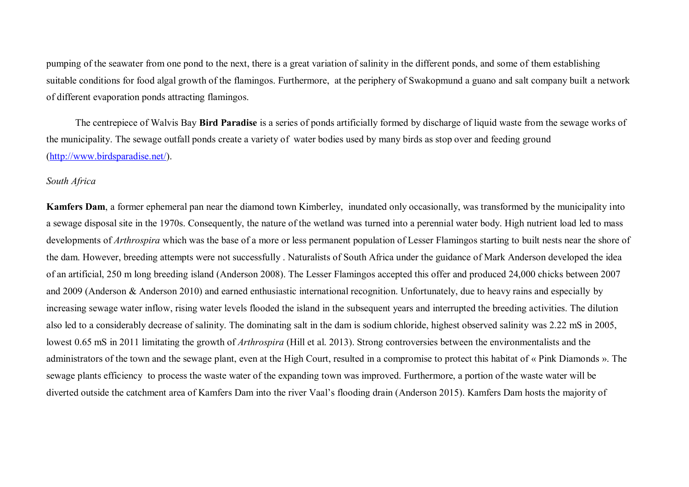pumping of the seawater from one pond to the next, there is a great variation of salinity in the different ponds, and some of them establishing suitable conditions for food algal growth of the flamingos. Furthermore, at the periphery of Swakopmund a guano and salt company built a network of different evaporation ponds attracting flamingos.

The centrepiece of Walvis Bay **Bird Paradise** is a series of ponds artificially formed by discharge of liquid waste from the sewage works of the municipality. The sewage outfall ponds create a variety of water bodies used by many birds as stop over and feeding ground (http://www.birdsparadise.net/).

### *South Africa*

**Kamfers Dam**, a former ephemeral pan near the diamond town Kimberley, inundated only occasionally, was transformed by the municipality into a sewage disposal site in the 1970s. Consequently, the nature of the wetland was turned into a perennial water body. High nutrient load led to mass developments of *Arthrospira* which was the base of a more or less permanent population of Lesser Flamingos starting to built nests near the shore of the dam. However, breeding attempts were not successfully . Naturalists of South Africa under the guidance of Mark Anderson developed the idea of an artificial, 250 m long breeding island (Anderson 2008). The Lesser Flamingos accepted this offer and produced 24,000 chicks between 2007 and 2009 (Anderson & Anderson 2010) and earned enthusiastic international recognition. Unfortunately, due to heavy rains and especially by increasing sewage water inflow, rising water levels flooded the island in the subsequent years and interrupted the breeding activities. The dilution also led to a considerably decrease of salinity. The dominating salt in the dam is sodium chloride, highest observed salinity was 2.22 mS in 2005, lowest 0.65 mS in 2011 limitating the growth of *Arthrospira* (Hill et al. 2013). Strong controversies between the environmentalists and the administrators of the town and the sewage plant, even at the High Court, resulted in a compromise to protect this habitat of « Pink Diamonds ». The sewage plants efficiency to process the waste water of the expanding town was improved. Furthermore, a portion of the waste water will be diverted outside the catchment area of Kamfers Dam into the river Vaal's flooding drain (Anderson 2015). Kamfers Dam hosts the majority of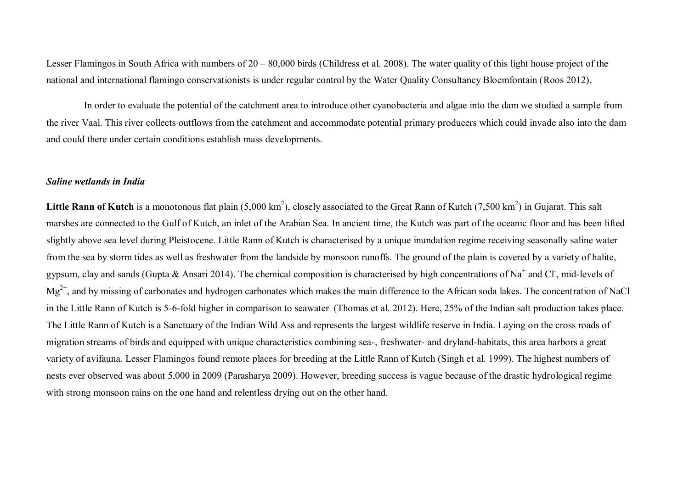Lesser Flamingos in South Africa with numbers of 20 – 80,000 birds (Childress et al. 2008). The water quality of this light house project of the national and international flamingo conservationists is under regular control by the Water Quality Consultancy Bloemfontain (Roos 2012).

In order to evaluate the potential of the catchment area to introduce other cyanobacteria and algae into the dam we studied a sample from the river Vaal. This river collects outflows from the catchment and accommodate potential primary producers which could invade also into the dam and could there under certain conditions establish mass developments.

## *Saline wetlands in India*

Little Rann of Kutch is a monotonous flat plain (5,000 km<sup>2</sup>), closely associated to the Great Rann of Kutch (7,500 km<sup>2</sup>) in Gujarat. This salt marshes are connected to the Gulf of Kutch, an inlet of the Arabian Sea. In ancient time, the Kutch was part of the oceanic floor and has been lifted slightly above sea level during Pleistocene. Little Rann of Kutch is characterised by a unique inundation regime receiving seasonally saline water from the sea by storm tides as well as freshwater from the landside by monsoon runoffs. The ground of the plain is covered by a variety of halite, gypsum, clay and sands (Gupta & Ansari 2014). The chemical composition is characterised by high concentrations of Na<sup>+</sup> and Cl<sup>-</sup>, mid-levels of  $Mg^{2+}$ , and by missing of carbonates and hydrogen carbonates which makes the main difference to the African soda lakes. The concentration of NaCl in the Little Rann of Kutch is 5-6-fold higher in comparison to seawater (Thomas et al. 2012). Here, 25% of the Indian salt production takes place. The Little Rann of Kutch is a Sanctuary of the Indian Wild Ass and represents the largest wildlife reserve in India. Laying on the cross roads of migration streams of birds and equipped with unique characteristics combining sea-, freshwater- and dryland-habitats, this area harbors a great variety of avifauna. Lesser Flamingos found remote places for breeding at the Little Rann of Kutch (Singh et al. 1999). The highest numbers of nests ever observed was about 5,000 in 2009 (Parasharya 2009). However, breeding success is vague because of the drastic hydrological regime with strong monsoon rains on the one hand and relentless drying out on the other hand.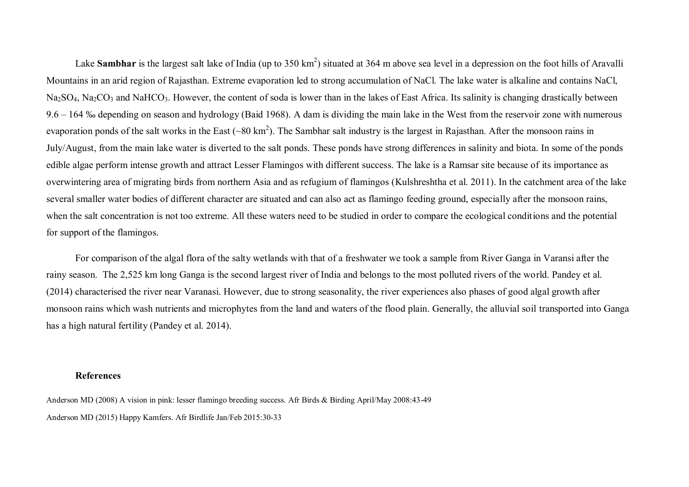Lake Sambhar is the largest salt lake of India (up to 350 km<sup>2</sup>) situated at 364 m above sea level in a depression on the foot hills of Aravalli Mountains in an arid region of Rajasthan. Extreme evaporation led to strong accumulation of NaCl. The lake water is alkaline and contains NaCl, Na<sub>2</sub>SO<sub>4</sub>, Na<sub>2</sub>CO<sub>3</sub> and NaHCO<sub>3</sub>. However, the content of soda is lower than in the lakes of East Africa. Its salinity is changing drastically between 9.6 – 164 ‰ depending on season and hydrology (Baid 1968). A dam is dividing the main lake in the West from the reservoir zone with numerous evaporation ponds of the salt works in the East (~80 km<sup>2</sup>). The Sambhar salt industry is the largest in Rajasthan. After the monsoon rains in July/August, from the main lake water is diverted to the salt ponds. These ponds have strong differences in salinity and biota. In some of the ponds edible algae perform intense growth and attract Lesser Flamingos with different success. The lake is a Ramsar site because of its importance as overwintering area of migrating birds from northern Asia and as refugium of flamingos (Kulshreshtha et al. 2011). In the catchment area of the lake several smaller water bodies of different character are situated and can also act as flamingo feeding ground, especially after the monsoon rains, when the salt concentration is not too extreme. All these waters need to be studied in order to compare the ecological conditions and the potential for support of the flamingos.

For comparison of the algal flora of the salty wetlands with that of a freshwater we took a sample from River Ganga in Varansi after the rainy season. The 2,525 km long Ganga is the second largest river of India and belongs to the most polluted rivers of the world. Pandey et al. (2014) characterised the river near Varanasi. However, due to strong seasonality, the river experiences also phases of good algal growth after monsoon rains which wash nutrients and microphytes from the land and waters of the flood plain. Generally, the alluvial soil transported into Ganga has a high natural fertility (Pandey et al. 2014).

### **References**

Anderson MD (2008) A vision in pink: lesser flamingo breeding success. Afr Birds & Birding April/May 2008:43-49 Anderson MD (2015) Happy Kamfers. Afr Birdlife Jan/Feb 2015:30-33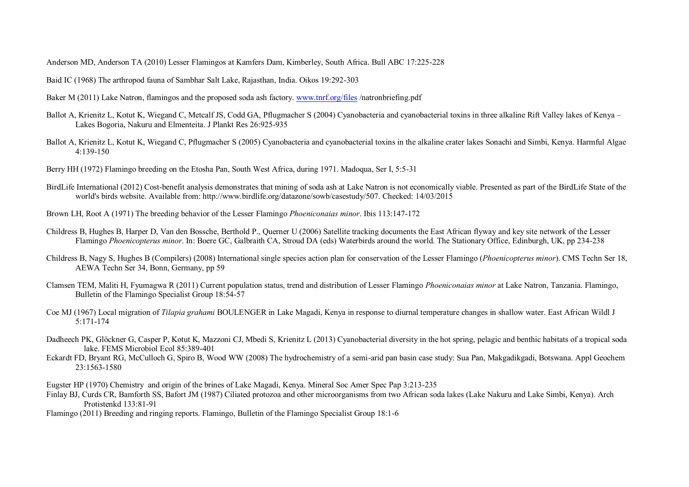Anderson MD, Anderson TA (2010) Lesser Flamingos at Kamfers Dam, Kimberley, South Africa. Bull ABC 17:225-228

Baid IC (1968) The arthropod fauna of Sambhar Salt Lake, Rajasthan, India. Oikos 19:292-303

- Baker M (2011) Lake Natron, flamingos and the proposed soda ash factory. www.tnrf.org/files /natronbriefing.pdf
- Ballot A, Krienitz L, Kotut K, Wiegand C, Metcalf JS, Codd GA, Pflugmacher S (2004) Cyanobacteria and cyanobacterial toxins in three alkaline Rift Valley lakes of Kenya Lakes Bogoria, Nakuru and Elmenteita. J Plankt Res 26:925-935
- Ballot A, Krienitz L, Kotut K, Wiegand C, Pflugmacher S (2005) Cyanobacteria and cyanobacterial toxins in the alkaline crater lakes Sonachi and Simbi, Kenya. Harmful Algae 4:139-150
- Berry HH (1972) Flamingo breeding on the Etosha Pan, South West Africa, during 1971. Madoqua, Ser I, 5:5-31
- BirdLife International (2012) Cost-benefit analysis demonstrates that mining of soda ash at Lake Natron is not economically viable. Presented as part of the BirdLife State of the world's birds website. Available from: http://www.birdlife.org/datazone/sowb/casestudy/507. Checked: 14/03/2015
- Brown LH, Root A (1971) The breeding behavior of the Lesser Flamingo *Phoeniconaias minor*. Ibis 113:147-172
- Childress B, Hughes B, Harper D, Van den Bossche, Berthold P., Querner U (2006) Satellite tracking documents the East African flyway and key site network of the Lesser Flamingo *Phoenicopterus minor*. In: Boere GC, Galbraith CA, Stroud DA (eds) Waterbirds around the world. The Stationary Office, Edinburgh, UK, pp 234-238
- Childress B, Nagy S, Hughes B (Compilers) (2008) International single species action plan for conservation of the Lesser Flamingo (*Phoenicopterus minor*). CMS Techn Ser 18, AEWA Techn Ser 34, Bonn, Germany, pp 59
- Clamsen TEM, Maliti H, Fyumagwa R (2011) Current population status, trend and distribution of Lesser Flamingo *Phoeniconaias minor* at Lake Natron, Tanzania. Flamingo, Bulletin of the Flamingo Specialist Group 18:54-57
- Coe MJ (1967) Local migration of *Tilapia grahami* BOULENGER in Lake Magadi, Kenya in response to diurnal temperature changes in shallow water. East African Wildl J 5:171-174
- Dadheech PK, Glöckner G, Casper P, Kotut K, Mazzoni CJ, Mbedi S, Krienitz L (2013) Cyanobacterial diversity in the hot spring, pelagic and benthic habitats of a tropical soda lake. FEMS Microbiol Ecol 85:389-401
- Eckardt FD, Bryant RG, McCulloch G, Spiro B, Wood WW (2008) The hydrochemistry of a semi-arid pan basin case study: Sua Pan, Makgadikgadi, Botswana. Appl Geochem 23:1563-1580
- Eugster HP (1970) Chemistry and origin of the brines of Lake Magadi, Kenya. Mineral Soc Amer Spec Pap 3:213-235
- Finlay BJ, Curds CR, Bamforth SS, Bafort JM (1987) Ciliated protozoa and other microorganisms from two African soda lakes (Lake Nakuru and Lake Simbi, Kenya). Arch Protistenkd 133:81-91
- Flamingo (2011) Breeding and ringing reports. Flamingo, Bulletin of the Flamingo Specialist Group 18:1-6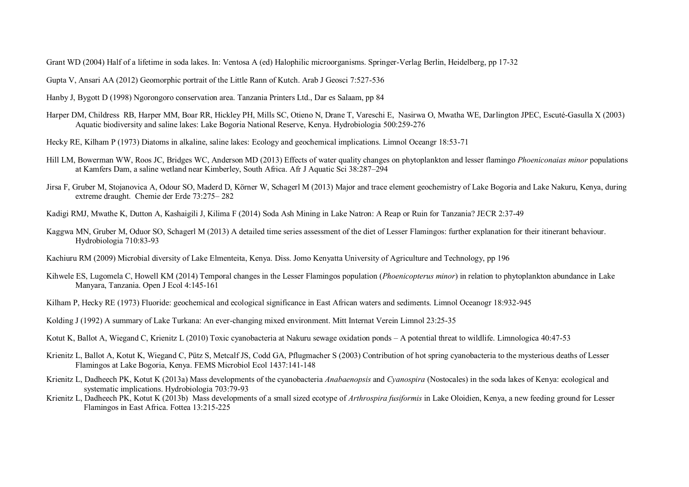Grant WD (2004) Half of a lifetime in soda lakes. In: Ventosa A (ed) Halophilic microorganisms. Springer-Verlag Berlin, Heidelberg, pp 17-32

Gupta V, Ansari AA (2012) Geomorphic portrait of the Little Rann of Kutch. Arab J Geosci 7:527-536

- Hanby J, Bygott D (1998) Ngorongoro conservation area. Tanzania Printers Ltd., Dar es Salaam, pp 84
- Harper DM, Childress RB, Harper MM, Boar RR, Hickley PH, Mills SC, Otieno N, Drane T, Vareschi E, Nasirwa O, Mwatha WE, Darlington JPEC, Escuté-Gasulla X (2003) Aquatic biodiversity and saline lakes: Lake Bogoria National Reserve, Kenya. Hydrobiologia 500:259-276
- Hecky RE, Kilham P (1973) Diatoms in alkaline, saline lakes: Ecology and geochemical implications. Limnol Oceangr 18:53-71
- Hill LM, Bowerman WW, Roos JC, Bridges WC, Anderson MD (2013) Effects of water quality changes on phytoplankton and lesser flamingo *Phoeniconaias minor* populations at Kamfers Dam, a saline wetland near Kimberley, South Africa. Afr J Aquatic Sci 38:287–294
- Jirsa F, Gruber M, Stojanovica A, Odour SO, Maderd D, Körner W, Schagerl M (2013) Major and trace element geochemistry of Lake Bogoria and Lake Nakuru, Kenya, during extreme draught. Chemie der Erde 73:275– 282
- Kadigi RMJ, Mwathe K, Dutton A, Kashaigili J, Kilima F (2014) Soda Ash Mining in Lake Natron: A Reap or Ruin for Tanzania? JECR 2:37-49
- Kaggwa MN, Gruber M, Oduor SO, Schagerl M (2013) A detailed time series assessment of the diet of Lesser Flamingos: further explanation for their itinerant behaviour. Hydrobiologia 710:83-93
- Kachiuru RM (2009) Microbial diversity of Lake Elmenteita, Kenya. Diss. Jomo Kenyatta University of Agriculture and Technology, pp 196
- Kihwele ES, Lugomela C, Howell KM (2014) Temporal changes in the Lesser Flamingos population (*Phoenicopterus minor*) in relation to phytoplankton abundance in Lake Manyara, Tanzania. Open J Ecol 4:145-161
- Kilham P, Hecky RE (1973) Fluoride: geochemical and ecological significance in East African waters and sediments. Limnol Oceanogr 18:932-945
- Kolding J (1992) A summary of Lake Turkana: An ever-changing mixed environment. Mitt Internat Verein Limnol 23:25-35
- Kotut K, Ballot A, Wiegand C, Krienitz L (2010) Toxic cyanobacteria at Nakuru sewage oxidation ponds A potential threat to wildlife. Limnologica 40:47-53
- Krienitz L, Ballot A, Kotut K, Wiegand C, Pütz S, Metcalf JS, Codd GA, Pflugmacher S (2003) Contribution of hot spring cyanobacteria to the mysterious deaths of Lesser Flamingos at Lake Bogoria, Kenya. FEMS Microbiol Ecol 1437:141-148
- Krienitz L, Dadheech PK, Kotut K (2013a) Mass developments of the cyanobacteria *Anabaenopsis* and *Cyanospira* (Nostocales) in the soda lakes of Kenya: ecological and systematic implications. Hydrobiologia 703:79-93
- Krienitz L, Dadheech PK, Kotut K (2013b) Mass developments of a small sized ecotype of *Arthrospira fusiformis* in Lake Oloidien, Kenya, a new feeding ground for Lesser Flamingos in East Africa. Fottea 13:215-225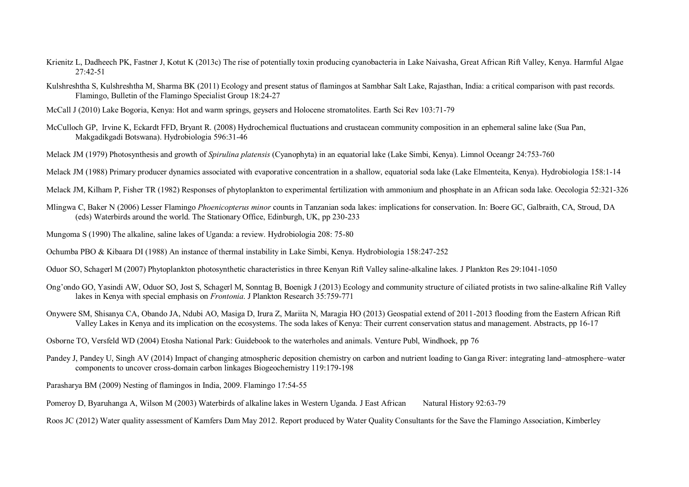- Krienitz L, Dadheech PK, Fastner J, Kotut K (2013c) The rise of potentially toxin producing cyanobacteria in Lake Naivasha, Great African Rift Valley, Kenya. Harmful Algae 27:42-51
- Kulshreshtha S, Kulshreshtha M, Sharma BK (2011) Ecology and present status of flamingos at Sambhar Salt Lake, Rajasthan, India: a critical comparison with past records. Flamingo, Bulletin of the Flamingo Specialist Group 18:24-27
- McCall J (2010) Lake Bogoria, Kenya: Hot and warm springs, geysers and Holocene stromatolites. Earth Sci Rev 103:71-79
- McCulloch GP, Irvine K, Eckardt FFD, Bryant R. (2008) Hydrochemical fluctuations and crustacean community composition in an ephemeral saline lake (Sua Pan, Makgadikgadi Botswana). Hydrobiologia 596:31-46
- Melack JM (1979) Photosynthesis and growth of *Spirulina platensis* (Cyanophyta) in an equatorial lake (Lake Simbi, Kenya). Limnol Oceangr 24:753-760
- Melack JM (1988) Primary producer dynamics associated with evaporative concentration in a shallow, equatorial soda lake (Lake Elmenteita, Kenya). Hydrobiologia 158:1-14
- Melack JM, Kilham P, Fisher TR (1982) Responses of phytoplankton to experimental fertilization with ammonium and phosphate in an African soda lake. Oecologia 52:321-326
- Mlingwa C, Baker N (2006) Lesser Flamingo *Phoenicopterus minor* counts in Tanzanian soda lakes: implications for conservation. In: Boere GC, Galbraith, CA, Stroud, DA (eds) Waterbirds around the world. The Stationary Office, Edinburgh, UK, pp 230-233
- Mungoma S (1990) The alkaline, saline lakes of Uganda: a review. Hydrobiologia 208: 75-80
- Ochumba PBO & Kibaara DI (1988) An instance of thermal instability in Lake Simbi, Kenya. Hydrobiologia 158:247-252
- Oduor SO, Schagerl M (2007) Phytoplankton photosynthetic characteristics in three Kenyan Rift Valley saline-alkaline lakes. J Plankton Res 29:1041-1050
- Ong'ondo GO, Yasindi AW, Oduor SO, Jost S, Schagerl M, Sonntag B, Boenigk J (2013) Ecology and community structure of ciliated protists in two saline-alkaline Rift Valley lakes in Kenya with special emphasis on *Frontonia*. J Plankton Research 35:759-771
- Onywere SM, Shisanya CA, Obando JA, Ndubi AO, Masiga D, Irura Z, Mariita N, Maragia HO (2013) Geospatial extend of 2011-2013 flooding from the Eastern African Rift Valley Lakes in Kenya and its implication on the ecosystems. The soda lakes of Kenya: Their current conservation status and management. Abstracts, pp 16-17
- Osborne TO, Versfeld WD (2004) Etosha National Park: Guidebook to the waterholes and animals. Venture Publ, Windhoek, pp 76
- Pandey J, Pandey U, Singh AV (2014) Impact of changing atmospheric deposition chemistry on carbon and nutrient loading to Ganga River: integrating land–atmosphere–water components to uncover cross-domain carbon linkages Biogeochemistry 119:179-198

Parasharya BM (2009) Nesting of flamingos in India, 2009. Flamingo 17:54-55

Pomeroy D, Byaruhanga A, Wilson M (2003) Waterbirds of alkaline lakes in Western Uganda. J East African Natural History 92:63-79

Roos JC (2012) Water quality assessment of Kamfers Dam May 2012. Report produced by Water Quality Consultants for the Save the Flamingo Association, Kimberley